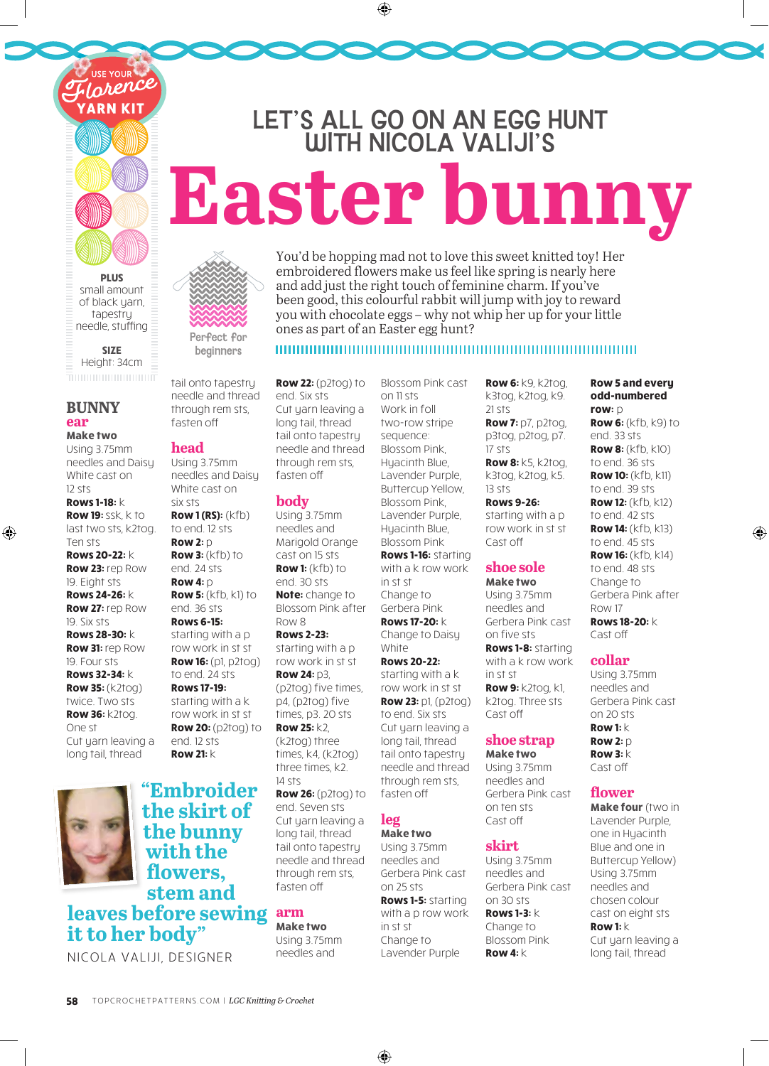**PLUS** small amount of black yarn, tapestry needle, stuffing

rence

**SIZE** Height: 34cm

# **BUNNY ear**

⊕

**Make two** Using 3.75mm needles and Daisy White cast on 12 sts

**Rows 1-18:** k **Row 19:** ssk, k to last two sts, k2tog. Ten sts **Rows 20-22:** k **Row 23:** rep Row 19. Eight sts **Rows 24-26:** k **Row 27:** rep Row 19. Six sts **Rows 28-30:** k **Row 31:** rep Row 19. Four sts **Rows 32-34:** k **Row 35:** (k2tog) twice. Two sts **Row 36:** k2tog. One st Cut yarn leaving a long tail, thread



# **"Embroider the skirt of the bunny with the flowers, stem and leaves before sewing it to her body"**

NICOLA VALIJI, DESIGNER

Perfect for beginners

tail onto tapestry needle and thread through rem sts, fasten o

#### **head**

Using 3.75mm needles and Daisy White cast on six sts **Row 1 (RS):** (kfb) to end. 12 sts **Row 2:** p **Row 3:**  $(kfh)$  to end. 24 sts **Row 4:** p **Row 5:** (kfb, k1) to end. 36 sts **Rows 6-15:** starting with a p row work in st st **Row 16:** (p1, p2tog) to end. 24 sts **Rows 17-19:** starting with a k row work in st st **Row 20:** (p2tog) to end. 12 sts **Row 21:** k

**Row 22:** (p2tog) to end. Six sts Cut yarn leaving a long tail, thread tail onto tapestry needle and thread through rem sts, fasten o

ones as part of an Easter egg hunt?

## **body**

Using 3.75mm needles and Marigold Orange cast on 15 sts **Row 1:** (kfb) to end. 30 sts **Note:** change to Blossom Pink after Row 8 **Rows 2-23:** starting with a p row work in st st **Row 24:** p3, (p2tog) five times, p4, (p2tog) five times, p3. 20 sts **Row 25:** k2, (k2tog) three times, k4, (k2tog) three times, k2. 14 sts **Row 26:** (p2tog) to

end. Seven sts Cut yarn leaving a long tail, thread tail onto tapestry needle and thread through rem sts, fasten o

#### **arm Make two**

Using 3.75mm needles and

Blossom Pink cast on 11 sts Work in foll two-row stripe sequence: Blossom Pink, Huacinth Blue. Lavender Purple, Buttercup Yellow, Blossom Pink, Lavender Purple, Hyacinth Blue, Blossom Pink **Rows 1-16:** starting with a k row work in st st Change to Gerbera Pink **Rows 17-20:** k Change to Daisy **White Rows 20-22:** starting with a k row work in st st **Row 23:** p1, (p2tog) to end. Six sts Cut yarn leaving a long tail, thread tail onto tapestry needle and thread through rem sts, fasten o **leg Make two**

You'd be hopping mad not to love this sweet kni ed toy! Her embroidered flowers make us feel like spring is nearly here and add just the right touch of feminine charm. If you've been good, this colourful rabbit will jump with joy to reward you with chocolate eggs – why not whip her up for your li le

LET'S ALL GO ON AN EGG HUNT WITH NICOLA VALIJI'S

 $\bigoplus$ 

**Easter bunny**

Using 3.75mm needles and Gerbera Pink cast on 25 sts **Rows 1-5:** starting with a p row work in st st Change to Lavender Purple

**Row 6:** k9, k2tog, k3tog, k2tog, k9. 21 sts **Row 7:** p7, p2tog, p3tog, p2tog, p7. 17 sts **Row 8:** k5, k2tog,

k3tog, k2tog, k5. 13 sts

**Rows 9-26:** starting with a p row work in st st Cast off

# **shoe sole**

**Make two** Using 3.75mm needles and Gerbera Pink cast on five sts **Rows 1-8:** starting with a k row work in st st **Row 9:** k2tog, k1, k2tog. Three sts Cast o

# **shoe strap**

**Make two** Using 3.75mm needles and Gerbera Pink cast on ten sts Cast off

**skirt** 

Using 3.75mm needles and Gerbera Pink cast on 30 sts **Rows 1-3:** k Change to Blossom Pink **Row 4:** k

**Row 5 and every odd-numbered row:** p **Row 6:** (kfb, k9) to end. 33 sts **Row 8:** (kfb, k10) to end. 36 sts **Row 10:** (kfb, k11) to end. 39 sts **Row 12:** (kfb, k12) to end. 42 sts **Row 14:** (kfb, k13) to end. 45 sts **Row 16:** (kfb, k14) to end. 48 sts Change to Gerbera Pink after Row 17 **Rows 18-20:** k Cast o

⊕

# **collar**

Using 3.75mm needles and Gerbera Pink cast on 20 sts **Row 1:** k **Row 2:** p **Row 3:** k Cast off

## **flower**

**Make four** (two in Lavender Purple, one in Hyacinth Blue and one in Buttercup Yellow) Using 3.75mm needles and chosen colour cast on eight sts **Row 1:** k Cut yarn leaving a long tail, thread

 $\bigoplus$